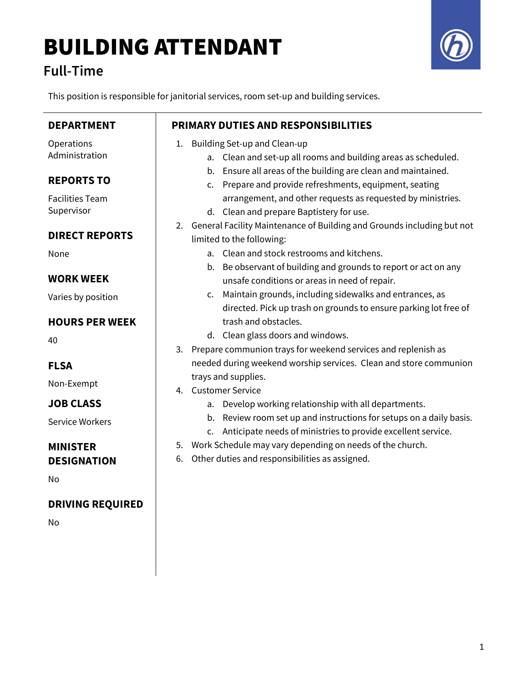# BUILDING ATTENDANT

### Full-Time

This position is responsible for janitorial services, room set-up and building services.

| <b>DEPARTMENT</b>                           | <b>PRIMARY DUTIES AND RESPONSIBILITIES</b>                                                                                                                                              |
|---------------------------------------------|-----------------------------------------------------------------------------------------------------------------------------------------------------------------------------------------|
| Operations<br>Administration                | Building Set-up and Clean-up<br>1.<br>a. Clean and set-up all rooms and building areas as scheduled.                                                                                    |
| <b>REPORTS TO</b><br><b>Facilities Team</b> | b. Ensure all areas of the building are clean and maintained.<br>c. Prepare and provide refreshments, equipment, seating<br>arrangement, and other requests as requested by ministries. |
| Supervisor                                  | d. Clean and prepare Baptistery for use.<br>General Facility Maintenance of Building and Grounds including but not<br>2.                                                                |
| <b>DIRECT REPORTS</b>                       | limited to the following:                                                                                                                                                               |
| None                                        | a. Clean and stock restrooms and kitchens.<br>b. Be observant of building and grounds to report or act on any                                                                           |
| <b>WORK WEEK</b>                            | unsafe conditions or areas in need of repair.                                                                                                                                           |
| Varies by position                          | c. Maintain grounds, including sidewalks and entrances, as<br>directed. Pick up trash on grounds to ensure parking lot free of                                                          |
| <b>HOURS PER WEEK</b>                       | trash and obstacles.                                                                                                                                                                    |
| 40                                          | d. Clean glass doors and windows.                                                                                                                                                       |
| <b>FLSA</b>                                 | Prepare communion trays for weekend services and replenish as<br>3.<br>needed during weekend worship services. Clean and store communion                                                |
| Non-Exempt                                  | trays and supplies.<br>4. Customer Service                                                                                                                                              |
| <b>JOB CLASS</b>                            | a. Develop working relationship with all departments.                                                                                                                                   |
| <b>Service Workers</b>                      | b. Review room set up and instructions for setups on a daily basis.<br>c. Anticipate needs of ministries to provide excellent service.                                                  |
| <b>MINISTER</b>                             | 5. Work Schedule may vary depending on needs of the church.                                                                                                                             |
| <b>DESIGNATION</b>                          | Other duties and responsibilities as assigned.<br>6.                                                                                                                                    |
| No                                          |                                                                                                                                                                                         |
| <b>DRIVING REQUIRED</b>                     |                                                                                                                                                                                         |
| No                                          |                                                                                                                                                                                         |
|                                             |                                                                                                                                                                                         |